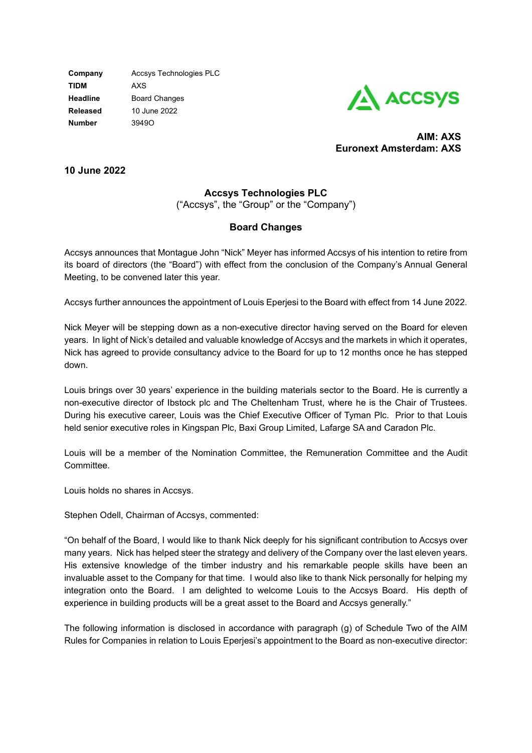**Company** Accsys Technologies PLC **TIDM** AXS **Headline** Board Changes **Released** 10 June 2022 **Number** 3949O



**AIM: AXS Euronext Amsterdam: AXS**

**10 June 2022**

## **Accsys Technologies PLC**

("Accsys", the "Group" or the "Company")

## **Board Changes**

Accsys announces that Montague John "Nick" Meyer has informed Accsys of his intention to retire from its board of directors (the "Board") with effect from the conclusion of the Company's Annual General Meeting, to be convened later this year.

Accsys further announces the appointment of Louis Eperjesi to the Board with effect from 14 June 2022.

Nick Meyer will be stepping down as a non-executive director having served on the Board for eleven years. In light of Nick's detailed and valuable knowledge of Accsys and the markets in which it operates, Nick has agreed to provide consultancy advice to the Board for up to 12 months once he has stepped down.

Louis brings over 30 years' experience in the building materials sector to the Board. He is currently a non-executive director of Ibstock plc and The Cheltenham Trust, where he is the Chair of Trustees. During his executive career, Louis was the Chief Executive Officer of Tyman Plc. Prior to that Louis held senior executive roles in Kingspan Plc, Baxi Group Limited, Lafarge SA and Caradon Plc.

Louis will be a member of the Nomination Committee, the Remuneration Committee and the Audit Committee.

Louis holds no shares in Accsys.

Stephen Odell, Chairman of Accsys, commented:

"On behalf of the Board, I would like to thank Nick deeply for his significant contribution to Accsys over many years. Nick has helped steer the strategy and delivery of the Company over the last eleven years. His extensive knowledge of the timber industry and his remarkable people skills have been an invaluable asset to the Company for that time. I would also like to thank Nick personally for helping my integration onto the Board. I am delighted to welcome Louis to the Accsys Board. His depth of experience in building products will be a great asset to the Board and Accsys generally."

The following information is disclosed in accordance with paragraph (g) of Schedule Two of the AIM Rules for Companies in relation to Louis Eperjesi's appointment to the Board as non-executive director: